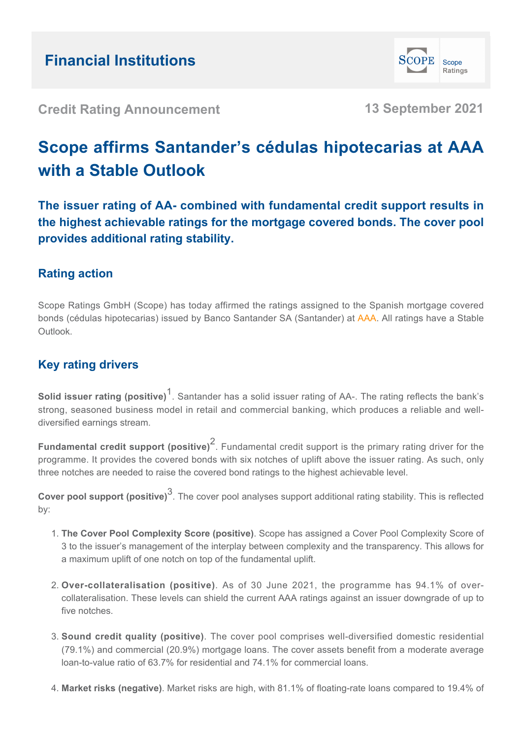

**Credit Rating Announcement 13 September 2021**

# **Scope affirms Santander's cédulas hipotecarias at AAA with a Stable Outlook**

**The issuer rating of AA- combined with fundamental credit support results in the highest achievable ratings for the mortgage covered bonds. The cover pool provides additional rating stability.**

# **Rating action**

Scope Ratings GmbH (Scope) has today affirmed the ratings assigned to the Spanish mortgage covered bonds (cédulas hipotecarias) issued by Banco Santander SA (Santander) at AAA. All ratings have a Stable Outlook.

## **Key rating drivers**

**Solid issuer rating (positive)<sup>1</sup>.** Santander has a solid issuer rating of AA-. The rating reflects the bank's strong, seasoned business model in retail and commercial banking, which produces a reliable and welldiversified earnings stream.

**Fundamental credit support (positive)<sup>2</sup>.** Fundamental credit support is the primary rating driver for the programme. It provides the covered bonds with six notches of uplift above the issuer rating. As such, only three notches are needed to raise the covered bond ratings to the highest achievable level.

**Cover pool support (positive)**<sup>3</sup> . The cover pool analyses support additional rating stability. This is reflected by:

- **The Cover Pool Complexity Score (positive)**. Scope has assigned a Cover Pool Complexity Score of 1. 3 to the issuer's management of the interplay between complexity and the transparency. This allows for a maximum uplift of one notch on top of the fundamental uplift.
- **Over-collateralisation (positive)**. As of 30 June 2021, the programme has 94.1% of over-2. collateralisation. These levels can shield the current AAA ratings against an issuer downgrade of up to five notches.
- **Sound credit quality (positive)**. The cover pool comprises well-diversified domestic residential 3. (79.1%) and commercial (20.9%) mortgage loans. The cover assets benefit from a moderate average loan-to-value ratio of 63.7% for residential and 74.1% for commercial loans.
- 4. **Market risks (negative)**. Market risks are high, with 81.1% of floating-rate loans compared to 19.4% of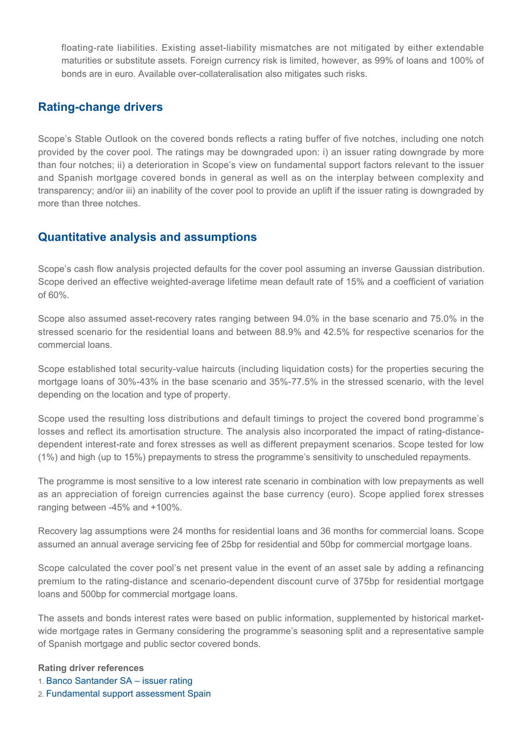floating-rate liabilities. Existing asset-liability mismatches are not mitigated by either extendable maturities or substitute assets. Foreign currency risk is limited, however, as 99% of loans and 100% of bonds are in euro. Available over-collateralisation also mitigates such risks.

### **Rating-change drivers**

Scope's Stable Outlook on the covered bonds reflects a rating buffer of five notches, including one notch provided by the cover pool. The ratings may be downgraded upon: i) an issuer rating downgrade by more than four notches; ii) a deterioration in Scope's view on fundamental support factors relevant to the issuer and Spanish mortgage covered bonds in general as well as on the interplay between complexity and transparency; and/or iii) an inability of the cover pool to provide an uplift if the issuer rating is downgraded by more than three notches.

### **Quantitative analysis and assumptions**

Scope's cash flow analysis projected defaults for the cover pool assuming an inverse Gaussian distribution. Scope derived an effective weighted-average lifetime mean default rate of 15% and a coefficient of variation of 60%.

Scope also assumed asset-recovery rates ranging between 94.0% in the base scenario and 75.0% in the stressed scenario for the residential loans and between 88.9% and 42.5% for respective scenarios for the commercial loans.

Scope established total security-value haircuts (including liquidation costs) for the properties securing the mortgage loans of 30%-43% in the base scenario and 35%-77.5% in the stressed scenario, with the level depending on the location and type of property.

Scope used the resulting loss distributions and default timings to project the covered bond programme's losses and reflect its amortisation structure. The analysis also incorporated the impact of rating-distancedependent interest-rate and forex stresses as well as different prepayment scenarios. Scope tested for low (1%) and high (up to 15%) prepayments to stress the programme's sensitivity to unscheduled repayments.

The programme is most sensitive to a low interest rate scenario in combination with low prepayments as well as an appreciation of foreign currencies against the base currency (euro). Scope applied forex stresses ranging between -45% and +100%.

Recovery lag assumptions were 24 months for residential loans and 36 months for commercial loans. Scope assumed an annual average servicing fee of 25bp for residential and 50bp for commercial mortgage loans.

Scope calculated the cover pool's net present value in the event of an asset sale by adding a refinancing premium to the rating-distance and scenario-dependent discount curve of 375bp for residential mortgage loans and 500bp for commercial mortgage loans.

The assets and bonds interest rates were based on public information, supplemented by historical marketwide mortgage rates in Germany considering the programme's seasoning split and a representative sample of Spanish mortgage and public sector covered bonds.

#### **Rating driver references**

- 1. [Banco Santander SA issuer rating](https://app.scope-one.com/ca/announcements/94E9557E-4EBA-47C6-ACEB-79260E5C7436)
- 2. [Fundamental support assessment Spain](https://www.scoperatings.com/ScopeRatingsApi/api/downloadstudy?id=0d27659b-e7df-48ce-a460-b1d243cfd7c1&q=1)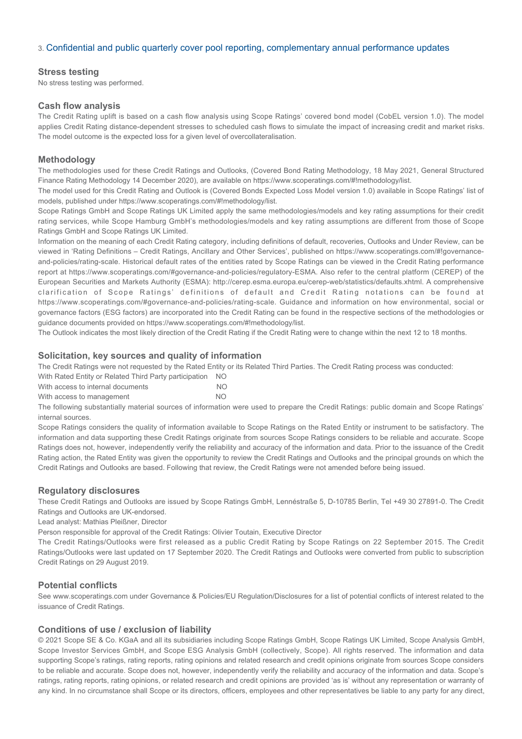#### 3. [Confidential and public quarterly cover pool reporting, complementary annual performance updates](https://www.santander.com/en/shareholders-and-investors/fixed-income)

#### **Stress testing**

No stress testing was performed.

#### **Cash flow analysis**

The Credit Rating uplift is based on a cash flow analysis using Scope Ratings' covered bond model (CobEL version 1.0). The model applies Credit Rating distance-dependent stresses to scheduled cash flows to simulate the impact of increasing credit and market risks. The model outcome is the expected loss for a given level of overcollateralisation.

#### **Methodology**

The methodologies used for these Credit Ratings and Outlooks, (Covered Bond Rating Methodology, 18 May 2021, General Structured Finance Rating Methodology 14 December 2020), are available on https://www.scoperatings.com/#!methodology/list.

The model used for this Credit Rating and Outlook is (Covered Bonds Expected Loss Model version 1.0) available in Scope Ratings' list of models, published under https://www.scoperatings.com/#!methodology/list.

Scope Ratings GmbH and Scope Ratings UK Limited apply the same methodologies/models and key rating assumptions for their credit rating services, while Scope Hamburg GmbH's methodologies/models and key rating assumptions are different from those of Scope Ratings GmbH and Scope Ratings UK Limited.

Information on the meaning of each Credit Rating category, including definitions of default, recoveries, Outlooks and Under Review, can be viewed in 'Rating Definitions – Credit Ratings, Ancillary and Other Services', published on https://www.scoperatings.com/#!governanceand-policies/rating-scale. Historical default rates of the entities rated by Scope Ratings can be viewed in the Credit Rating performance report at https://www.scoperatings.com/#governance-and-policies/regulatory-ESMA. Also refer to the central platform (CEREP) of the European Securities and Markets Authority (ESMA): http://cerep.esma.europa.eu/cerep-web/statistics/defaults.xhtml. A comprehensive clarification of Scope Ratings' definitions of default and Credit Rating notations can be found at https://www.scoperatings.com/#governance-and-policies/rating-scale. Guidance and information on how environmental, social or governance factors (ESG factors) are incorporated into the Credit Rating can be found in the respective sections of the methodologies or guidance documents provided on https://www.scoperatings.com/#!methodology/list.

The Outlook indicates the most likely direction of the Credit Rating if the Credit Rating were to change within the next 12 to 18 months.

#### **Solicitation, key sources and quality of information**

The Credit Ratings were not requested by the Rated Entity or its Related Third Parties. The Credit Rating process was conducted:

With Rated Entity or Related Third Party participation NO

With access to internal documents NO With access to management NO

The following substantially material sources of information were used to prepare the Credit Ratings: public domain and Scope Ratings' internal sources.

Scope Ratings considers the quality of information available to Scope Ratings on the Rated Entity or instrument to be satisfactory. The information and data supporting these Credit Ratings originate from sources Scope Ratings considers to be reliable and accurate. Scope Ratings does not, however, independently verify the reliability and accuracy of the information and data. Prior to the issuance of the Credit Rating action, the Rated Entity was given the opportunity to review the Credit Ratings and Outlooks and the principal grounds on which the Credit Ratings and Outlooks are based. Following that review, the Credit Ratings were not amended before being issued.

#### **Regulatory disclosures**

These Credit Ratings and Outlooks are issued by Scope Ratings GmbH, Lennéstraße 5, D-10785 Berlin, Tel +49 30 27891-0. The Credit Ratings and Outlooks are UK-endorsed.

Lead analyst: Mathias Pleißner, Director

Person responsible for approval of the Credit Ratings: Olivier Toutain, Executive Director

The Credit Ratings/Outlooks were first released as a public Credit Rating by Scope Ratings on 22 September 2015. The Credit Ratings/Outlooks were last updated on 17 September 2020. The Credit Ratings and Outlooks were converted from public to subscription Credit Ratings on 29 August 2019.

#### **Potential conflicts**

See www.scoperatings.com under Governance & Policies/EU Regulation/Disclosures for a list of potential conflicts of interest related to the issuance of Credit Ratings.

#### **Conditions of use / exclusion of liability**

© 2021 Scope SE & Co. KGaA and all its subsidiaries including Scope Ratings GmbH, Scope Ratings UK Limited, Scope Analysis GmbH, Scope Investor Services GmbH, and Scope ESG Analysis GmbH (collectively, Scope). All rights reserved. The information and data supporting Scope's ratings, rating reports, rating opinions and related research and credit opinions originate from sources Scope considers to be reliable and accurate. Scope does not, however, independently verify the reliability and accuracy of the information and data. Scope's ratings, rating reports, rating opinions, or related research and credit opinions are provided 'as is' without any representation or warranty of any kind. In no circumstance shall Scope or its directors, officers, employees and other representatives be liable to any party for any direct,